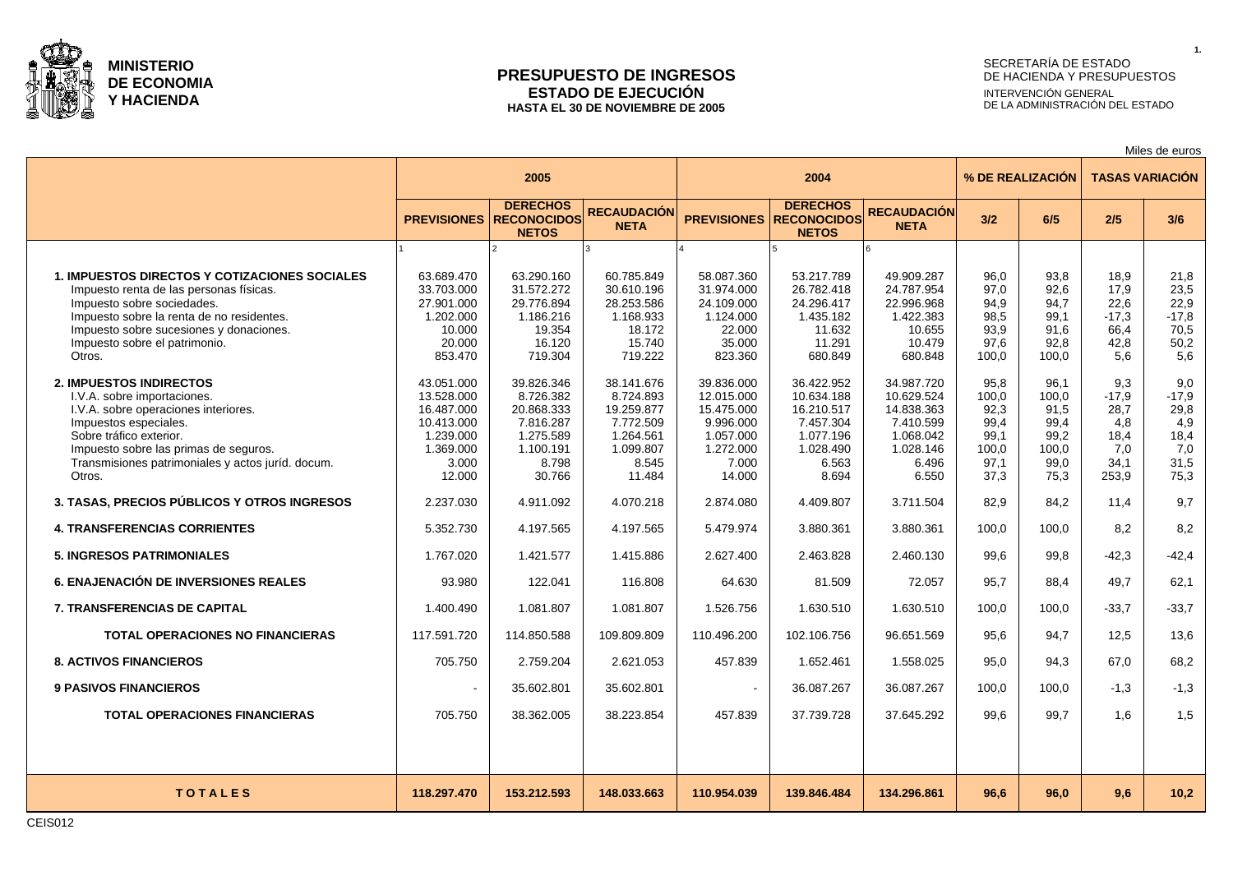

#### **PRESUPUESTO DE INGRESOS ESTADO DE EJECUCIÓN HASTA EL 30 DE NOVIEMBRE DE 2005**

# SECRETARÍA DE ESTADO DE HACIENDA Y PRESUPUESTOS INTERVENCIÓN GENERAL DE LA ADMINISTRACIÓN DEL ESTADO

Miles de euros

**1.**

|                                                                                                                                                                                                                                                                  | 2005                                                                                              |                                                                                                 |                                                                                                 |                                                                                                  | 2004                                                                                            |                                                                                                 |                                                                | % DE REALIZACIÓN                                               | <b>TASAS VARIACIÓN</b>                                        |                                                              |  |
|------------------------------------------------------------------------------------------------------------------------------------------------------------------------------------------------------------------------------------------------------------------|---------------------------------------------------------------------------------------------------|-------------------------------------------------------------------------------------------------|-------------------------------------------------------------------------------------------------|--------------------------------------------------------------------------------------------------|-------------------------------------------------------------------------------------------------|-------------------------------------------------------------------------------------------------|----------------------------------------------------------------|----------------------------------------------------------------|---------------------------------------------------------------|--------------------------------------------------------------|--|
|                                                                                                                                                                                                                                                                  |                                                                                                   | <b>DERECHOS</b><br><b>PREVISIONES RECONOCIDOS</b><br><b>NETOS</b>                               | <b>RECAUDACIÓN</b><br><b>NETA</b>                                                               | <b>PREVISIONES</b>                                                                               | <b>DERECHOS</b><br><b>RECONOCIDOS</b><br><b>NETOS</b>                                           | <b>RECAUDACIÓN</b><br><b>NETA</b>                                                               | 3/2                                                            | 6/5                                                            | 2/5                                                           | 3/6                                                          |  |
|                                                                                                                                                                                                                                                                  |                                                                                                   |                                                                                                 |                                                                                                 |                                                                                                  |                                                                                                 |                                                                                                 |                                                                |                                                                |                                                               |                                                              |  |
| <b>1. IMPUESTOS DIRECTOS Y COTIZACIONES SOCIALES</b><br>Impuesto renta de las personas físicas.<br>Impuesto sobre sociedades.<br>Impuesto sobre la renta de no residentes.<br>Impuesto sobre sucesiones y donaciones.<br>Impuesto sobre el patrimonio.<br>Otros. | 63.689.470<br>33.703.000<br>27.901.000<br>1.202.000<br>10.000<br>20.000<br>853.470                | 63.290.160<br>31.572.272<br>29.776.894<br>1.186.216<br>19.354<br>16.120<br>719.304              | 60.785.849<br>30.610.196<br>28.253.586<br>1.168.933<br>18.172<br>15.740<br>719.222              | 58.087.360<br>31.974.000<br>24.109.000<br>1.124.000<br>22.000<br>35.000<br>823.360               | 53.217.789<br>26.782.418<br>24.296.417<br>1.435.182<br>11.632<br>11.291<br>680.849              | 49.909.287<br>24.787.954<br>22.996.968<br>1.422.383<br>10.655<br>10.479<br>680.848              | 96.0<br>97.0<br>94.9<br>98,5<br>93.9<br>97.6<br>100.0          | 93.8<br>92.6<br>94.7<br>99,1<br>91.6<br>92,8<br>100.0          | 18.9<br>17.9<br>22.6<br>$-17.3$<br>66.4<br>42,8<br>5.6        | 21,8<br>23,5<br>22,9<br>$-17,8$<br>70.5<br>50,2<br>5.6       |  |
| 2. IMPUESTOS INDIRECTOS<br>I.V.A. sobre importaciones.<br>I.V.A. sobre operaciones interiores.<br>Impuestos especiales.<br>Sobre tráfico exterior.<br>Impuesto sobre las primas de seguros.<br>Transmisiones patrimoniales y actos juríd. docum.<br>Otros.       | 43.051.000<br>13.528.000<br>16.487.000<br>10.413.000<br>1.239.000<br>1.369.000<br>3.000<br>12.000 | 39.826.346<br>8.726.382<br>20.868.333<br>7.816.287<br>1.275.589<br>1.100.191<br>8.798<br>30.766 | 38.141.676<br>8.724.893<br>19.259.877<br>7.772.509<br>1.264.561<br>1.099.807<br>8.545<br>11.484 | 39.836.000<br>12.015.000<br>15.475.000<br>9.996.000<br>1.057.000<br>1.272.000<br>7.000<br>14.000 | 36.422.952<br>10.634.188<br>16.210.517<br>7.457.304<br>1.077.196<br>1.028.490<br>6.563<br>8.694 | 34.987.720<br>10.629.524<br>14.838.363<br>7.410.599<br>1.068.042<br>1.028.146<br>6.496<br>6.550 | 95.8<br>100,0<br>92,3<br>99,4<br>99.1<br>100,0<br>97,1<br>37,3 | 96.1<br>100,0<br>91.5<br>99,4<br>99,2<br>100,0<br>99,0<br>75,3 | 9.3<br>$-17.9$<br>28.7<br>4.8<br>18.4<br>7.0<br>34.1<br>253,9 | 9.0<br>$-17,9$<br>29,8<br>4,9<br>18,4<br>7,0<br>31,5<br>75,3 |  |
| 3. TASAS, PRECIOS PÚBLICOS Y OTROS INGRESOS                                                                                                                                                                                                                      | 2.237.030                                                                                         | 4.911.092                                                                                       | 4.070.218                                                                                       | 2.874.080                                                                                        | 4.409.807                                                                                       | 3.711.504                                                                                       | 82,9                                                           | 84,2                                                           | 11.4                                                          | 9,7                                                          |  |
| <b>4. TRANSFERENCIAS CORRIENTES</b>                                                                                                                                                                                                                              | 5.352.730                                                                                         | 4.197.565                                                                                       | 4.197.565                                                                                       | 5.479.974                                                                                        | 3.880.361                                                                                       | 3.880.361                                                                                       | 100.0                                                          | 100.0                                                          | 8.2                                                           | 8,2                                                          |  |
| <b>5. INGRESOS PATRIMONIALES</b>                                                                                                                                                                                                                                 | 1.767.020                                                                                         | 1.421.577                                                                                       | 1.415.886                                                                                       | 2.627.400                                                                                        | 2.463.828                                                                                       | 2.460.130                                                                                       | 99.6                                                           | 99.8                                                           | $-42.3$                                                       | $-42,4$                                                      |  |
| <b>6. ENAJENACIÓN DE INVERSIONES REALES</b>                                                                                                                                                                                                                      | 93.980                                                                                            | 122.041                                                                                         | 116,808                                                                                         | 64.630                                                                                           | 81.509                                                                                          | 72.057                                                                                          | 95.7                                                           | 88.4                                                           | 49.7                                                          | 62,1                                                         |  |
| <b>7. TRANSFERENCIAS DE CAPITAL</b>                                                                                                                                                                                                                              | 1.400.490                                                                                         | 1.081.807                                                                                       | 1.081.807                                                                                       | 1.526.756                                                                                        | 1.630.510                                                                                       | 1.630.510                                                                                       | 100.0                                                          | 100.0                                                          | $-33.7$                                                       | $-33,7$                                                      |  |
| <b>TOTAL OPERACIONES NO FINANCIERAS</b>                                                                                                                                                                                                                          | 117.591.720                                                                                       | 114.850.588                                                                                     | 109.809.809                                                                                     | 110.496.200                                                                                      | 102.106.756                                                                                     | 96.651.569                                                                                      | 95,6                                                           | 94.7                                                           | 12.5                                                          | 13,6                                                         |  |
| <b>8. ACTIVOS FINANCIEROS</b>                                                                                                                                                                                                                                    | 705.750                                                                                           | 2.759.204                                                                                       | 2.621.053                                                                                       | 457.839                                                                                          | 1.652.461                                                                                       | 1.558.025                                                                                       | 95,0                                                           | 94.3                                                           | 67.0                                                          | 68,2                                                         |  |
| <b>9 PASIVOS FINANCIEROS</b>                                                                                                                                                                                                                                     | $\blacksquare$                                                                                    | 35.602.801                                                                                      | 35.602.801                                                                                      |                                                                                                  | 36.087.267                                                                                      | 36.087.267                                                                                      | 100.0                                                          | 100.0                                                          | $-1.3$                                                        | $-1,3$                                                       |  |
| <b>TOTAL OPERACIONES FINANCIERAS</b>                                                                                                                                                                                                                             | 705.750                                                                                           | 38.362.005                                                                                      | 38.223.854                                                                                      | 457.839                                                                                          | 37.739.728                                                                                      | 37.645.292                                                                                      | 99,6                                                           | 99,7                                                           | 1.6                                                           | 1,5                                                          |  |
|                                                                                                                                                                                                                                                                  |                                                                                                   |                                                                                                 |                                                                                                 |                                                                                                  |                                                                                                 |                                                                                                 |                                                                |                                                                |                                                               |                                                              |  |
| <b>TOTALES</b>                                                                                                                                                                                                                                                   | 118.297.470                                                                                       | 153.212.593                                                                                     | 148.033.663                                                                                     | 110.954.039                                                                                      | 139.846.484                                                                                     | 134.296.861                                                                                     | 96,6                                                           | 96.0                                                           | 9.6                                                           | 10,2                                                         |  |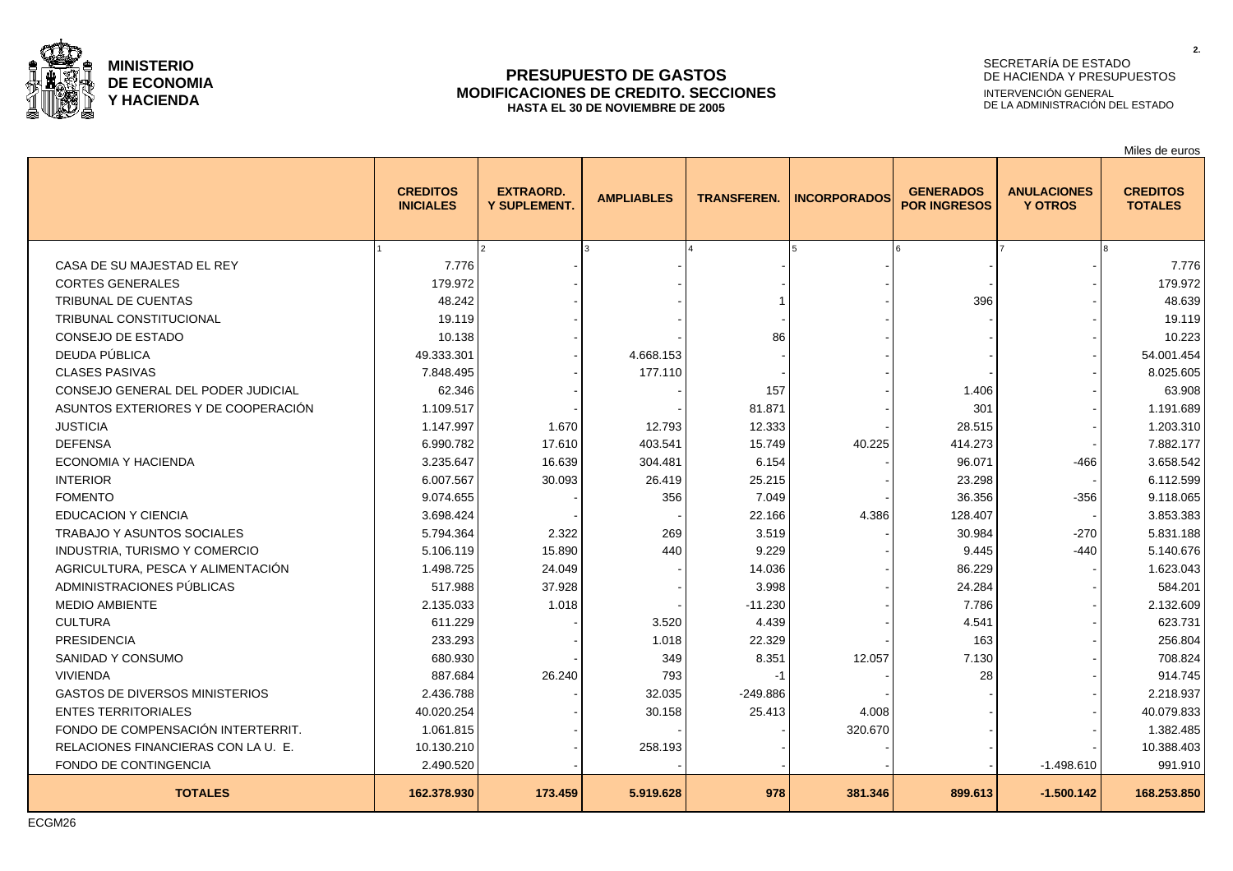

## **PRESUPUESTO DE GASTOS MODIFICACIONES DE CREDITO. SECCIONES HASTA EL 30 DE NOVIEMBRE DE 2005**

# SECRETARÍA DE ESTADO DE HACIENDA Y PRESUPUESTOS INTERVENCIÓN GENERAL DE LA ADMINISTRACIÓN DEL ESTADO

Miles de euros

|                                       | <b>CREDITOS</b><br><b>INICIALES</b> | <b>EXTRAORD.</b><br><b>Y SUPLEMENT.</b> | <b>AMPLIABLES</b> | <b>TRANSFEREN.</b> | <b>INCORPORADOS</b> | <b>GENERADOS</b><br><b>POR INGRESOS</b> | <b>ANULACIONES</b><br><b>Y OTROS</b> | <b>CREDITOS</b><br><b>TOTALES</b> |
|---------------------------------------|-------------------------------------|-----------------------------------------|-------------------|--------------------|---------------------|-----------------------------------------|--------------------------------------|-----------------------------------|
|                                       |                                     |                                         |                   |                    |                     |                                         |                                      |                                   |
| CASA DE SU MAJESTAD EL REY            | 7.776                               |                                         |                   |                    |                     |                                         |                                      | 7.776                             |
| <b>CORTES GENERALES</b>               | 179.972                             |                                         |                   |                    |                     |                                         |                                      | 179.972                           |
| <b>TRIBUNAL DE CUENTAS</b>            | 48.242                              |                                         |                   |                    |                     | 396                                     |                                      | 48.639                            |
| <b>TRIBUNAL CONSTITUCIONAL</b>        | 19.119                              |                                         |                   |                    |                     |                                         |                                      | 19.119                            |
| <b>CONSEJO DE ESTADO</b>              | 10.138                              |                                         |                   | 86                 |                     |                                         |                                      | 10.223                            |
| DEUDA PÚBLICA                         | 49.333.301                          |                                         | 4.668.153         |                    |                     |                                         |                                      | 54.001.454                        |
| <b>CLASES PASIVAS</b>                 | 7.848.495                           |                                         | 177.110           |                    |                     |                                         |                                      | 8.025.605                         |
| CONSEJO GENERAL DEL PODER JUDICIAL    | 62.346                              |                                         |                   | 157                |                     | 1.406                                   |                                      | 63.908                            |
| ASUNTOS EXTERIORES Y DE COOPERACIÓN   | 1.109.517                           |                                         |                   | 81.871             |                     | 301                                     |                                      | 1.191.689                         |
| <b>JUSTICIA</b>                       | 1.147.997                           | 1.670                                   | 12.793            | 12.333             |                     | 28.515                                  |                                      | 1.203.310                         |
| <b>DEFENSA</b>                        | 6.990.782                           | 17.610                                  | 403.541           | 15.749             | 40.225              | 414.273                                 |                                      | 7.882.177                         |
| <b>ECONOMIA Y HACIENDA</b>            | 3.235.647                           | 16.639                                  | 304.481           | 6.154              |                     | 96.071                                  | $-466$                               | 3.658.542                         |
| <b>INTERIOR</b>                       | 6.007.567                           | 30.093                                  | 26.419            | 25.215             |                     | 23.298                                  |                                      | 6.112.599                         |
| <b>FOMENTO</b>                        | 9.074.655                           |                                         | 356               | 7.049              |                     | 36.356                                  | $-356$                               | 9.118.065                         |
| <b>EDUCACION Y CIENCIA</b>            | 3.698.424                           |                                         |                   | 22.166             | 4.386               | 128.407                                 |                                      | 3.853.383                         |
| TRABAJO Y ASUNTOS SOCIALES            | 5.794.364                           | 2.322                                   | 269               | 3.519              |                     | 30.984                                  | $-270$                               | 5.831.188                         |
| INDUSTRIA, TURISMO Y COMERCIO         | 5.106.119                           | 15.890                                  | 440               | 9.229              |                     | 9.445                                   | $-440$                               | 5.140.676                         |
| AGRICULTURA, PESCA Y ALIMENTACIÓN     | 1.498.725                           | 24.049                                  |                   | 14.036             |                     | 86.229                                  |                                      | 1.623.043                         |
| ADMINISTRACIONES PÚBLICAS             | 517.988                             | 37.928                                  |                   | 3.998              |                     | 24.284                                  |                                      | 584.201                           |
| <b>MEDIO AMBIENTE</b>                 | 2.135.033                           | 1.018                                   |                   | $-11.230$          |                     | 7.786                                   |                                      | 2.132.609                         |
| <b>CULTURA</b>                        | 611.229                             |                                         | 3.520             | 4.439              |                     | 4.541                                   |                                      | 623.731                           |
| <b>PRESIDENCIA</b>                    | 233.293                             |                                         | 1.018             | 22.329             |                     | 163                                     |                                      | 256.804                           |
| SANIDAD Y CONSUMO                     | 680.930                             |                                         | 349               | 8.351              | 12.057              | 7.130                                   |                                      | 708.824                           |
| <b>VIVIENDA</b>                       | 887.684                             | 26.240                                  | 793               | -1                 |                     | 28                                      |                                      | 914.745                           |
| <b>GASTOS DE DIVERSOS MINISTERIOS</b> | 2.436.788                           |                                         | 32.035            | $-249.886$         |                     |                                         |                                      | 2.218.937                         |
| <b>ENTES TERRITORIALES</b>            | 40.020.254                          |                                         | 30.158            | 25.413             | 4.008               |                                         |                                      | 40.079.833                        |
| FONDO DE COMPENSACIÓN INTERTERRIT.    | 1.061.815                           |                                         |                   |                    | 320.670             |                                         |                                      | 1.382.485                         |
| RELACIONES FINANCIERAS CON LA U. E.   | 10.130.210                          |                                         | 258.193           |                    |                     |                                         |                                      | 10.388.403                        |
| FONDO DE CONTINGENCIA                 | 2.490.520                           |                                         |                   |                    |                     |                                         | $-1.498.610$                         | 991.910                           |
| <b>TOTALES</b>                        | 162.378.930                         | 173.459                                 | 5.919.628         | 978                | 381.346             | 899.613                                 | $-1.500.142$                         | 168.253.850                       |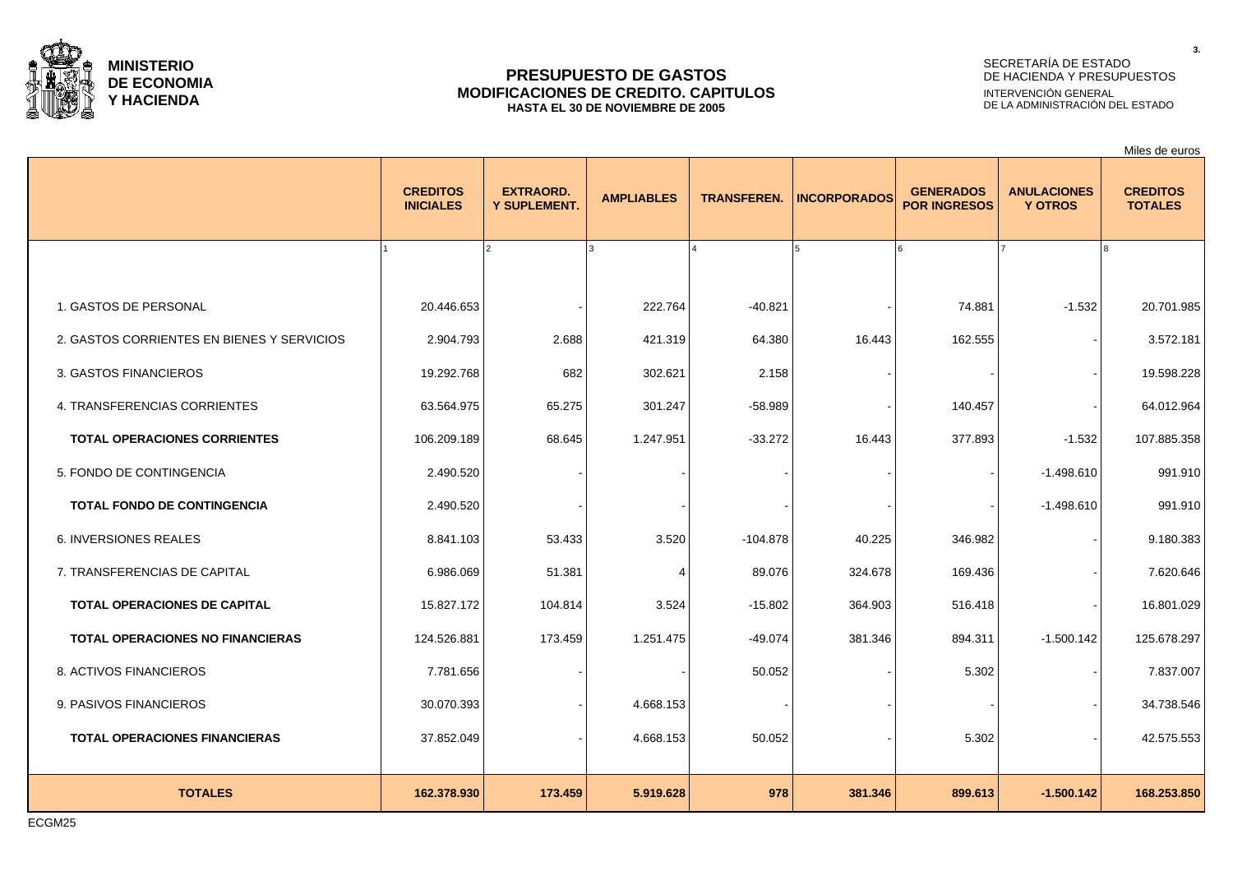

## **PRESUPUESTO DE GASTOS MODIFICACIONES DE CREDITO. CAPITULOS HASTA EL 30 DE NOVIEMBRE DE 2005**

# SECRETARÍA DE ESTADO DE HACIENDA Y PRESUPUESTOS INTERVENCIÓN GENERAL DE LA ADMINISTRACIÓN DEL ESTADO

Miles de euros

|                                            | <b>CREDITOS</b><br><b>INICIALES</b> | <b>EXTRAORD.</b><br><b>Y SUPLEMENT.</b> | <b>AMPLIABLES</b>     | <b>TRANSFEREN.</b> | <b>INCORPORADOS</b> | <b>GENERADOS</b><br><b>POR INGRESOS</b> | <b>ANULACIONES</b><br><b>Y OTROS</b> | <b>CREDITOS</b><br><b>TOTALES</b> |
|--------------------------------------------|-------------------------------------|-----------------------------------------|-----------------------|--------------------|---------------------|-----------------------------------------|--------------------------------------|-----------------------------------|
|                                            |                                     | $\overline{2}$                          | 3                     |                    | 5                   |                                         |                                      |                                   |
| 1. GASTOS DE PERSONAL                      | 20.446.653                          |                                         | 222.764               | $-40.821$          |                     | 74.881                                  | $-1.532$                             | 20.701.985                        |
| 2. GASTOS CORRIENTES EN BIENES Y SERVICIOS | 2.904.793                           | 2.688                                   | 421.319               | 64.380             | 16.443              | 162.555                                 |                                      | 3.572.181                         |
| 3. GASTOS FINANCIEROS                      | 19.292.768                          | 682                                     | 302.621               | 2.158              |                     |                                         |                                      | 19.598.228                        |
| 4. TRANSFERENCIAS CORRIENTES               | 63.564.975                          | 65.275                                  | 301.247               | $-58.989$          |                     | 140.457                                 |                                      | 64.012.964                        |
| <b>TOTAL OPERACIONES CORRIENTES</b>        | 106.209.189                         | 68.645                                  | 1.247.951             | $-33.272$          | 16.443              | 377.893                                 | $-1.532$                             | 107.885.358                       |
| 5. FONDO DE CONTINGENCIA                   | 2.490.520                           |                                         |                       |                    |                     |                                         | $-1.498.610$                         | 991.910                           |
| <b>TOTAL FONDO DE CONTINGENCIA</b>         | 2.490.520                           |                                         |                       |                    |                     |                                         | $-1.498.610$                         | 991.910                           |
| <b>6. INVERSIONES REALES</b>               | 8.841.103                           | 53.433                                  | 3.520                 | $-104.878$         | 40.225              | 346.982                                 |                                      | 9.180.383                         |
| 7. TRANSFERENCIAS DE CAPITAL               | 6.986.069                           | 51.381                                  | $\boldsymbol{\Delta}$ | 89.076             | 324.678             | 169.436                                 |                                      | 7.620.646                         |
| <b>TOTAL OPERACIONES DE CAPITAL</b>        | 15.827.172                          | 104.814                                 | 3.524                 | $-15.802$          | 364.903             | 516.418                                 |                                      | 16.801.029                        |
| <b>TOTAL OPERACIONES NO FINANCIERAS</b>    | 124.526.881                         | 173.459                                 | 1.251.475             | $-49.074$          | 381.346             | 894.311                                 | $-1.500.142$                         | 125.678.297                       |
| 8. ACTIVOS FINANCIEROS                     | 7.781.656                           |                                         |                       | 50.052             |                     | 5.302                                   |                                      | 7.837.007                         |
| 9. PASIVOS FINANCIEROS                     | 30.070.393                          |                                         | 4.668.153             |                    |                     |                                         |                                      | 34.738.546                        |
| <b>TOTAL OPERACIONES FINANCIERAS</b>       | 37.852.049                          |                                         | 4.668.153             | 50.052             |                     | 5.302                                   |                                      | 42.575.553                        |
|                                            |                                     |                                         |                       |                    |                     |                                         |                                      |                                   |
| <b>TOTALES</b>                             | 162.378.930                         | 173.459                                 | 5.919.628             | 978                | 381.346             | 899.613                                 | $-1.500.142$                         | 168.253.850                       |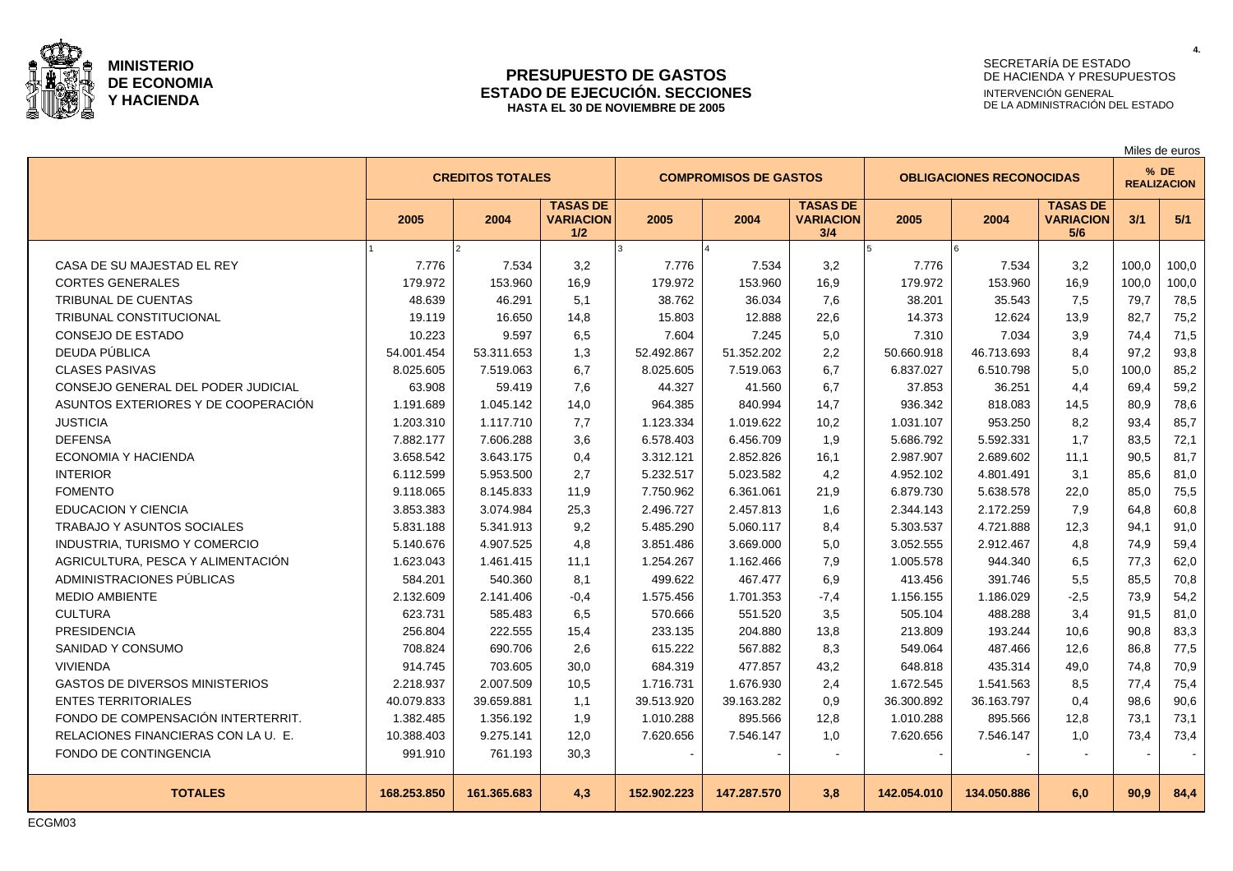

#### **PRESUPUESTO DE GASTOS ESTADO DE EJECUCIÓN. SECCIONES HASTA EL 30 DE NOVIEMBRE DE 2005**

# SECRETARÍA DE ESTADO DE HACIENDA Y PRESUPUESTOS INTERVENCIÓN GENERAL DE LA ADMINISTRACIÓN DEL ESTADO

|                                       |             |                         |                                            |             |                              |                                            |             |                                 |                                            |                              | Miles de euros |  |
|---------------------------------------|-------------|-------------------------|--------------------------------------------|-------------|------------------------------|--------------------------------------------|-------------|---------------------------------|--------------------------------------------|------------------------------|----------------|--|
|                                       |             | <b>CREDITOS TOTALES</b> |                                            |             | <b>COMPROMISOS DE GASTOS</b> |                                            |             | <b>OBLIGACIONES RECONOCIDAS</b> |                                            | $%$ DE<br><b>REALIZACION</b> |                |  |
|                                       | 2005        | 2004                    | <b>TASAS DE</b><br><b>VARIACION</b><br>1/2 | 2005        | 2004                         | <b>TASAS DE</b><br><b>VARIACION</b><br>3/4 | 2005        | 2004                            | <b>TASAS DE</b><br><b>VARIACION</b><br>5/6 | 3/1                          | 5/1            |  |
|                                       |             | $\mathfrak{p}$          |                                            |             |                              |                                            | l5.         |                                 |                                            |                              |                |  |
| CASA DE SU MAJESTAD EL REY            | 7.776       | 7.534                   | 3,2                                        | 7.776       | 7.534                        | 3,2                                        | 7.776       | 7.534                           | 3,2                                        | 100.0                        | 100,0          |  |
| <b>CORTES GENERALES</b>               | 179.972     | 153.960                 | 16,9                                       | 179.972     | 153.960                      | 16,9                                       | 179.972     | 153.960                         | 16,9                                       | 100,0                        | 100,0          |  |
| TRIBUNAL DE CUENTAS                   | 48.639      | 46.291                  | 5,1                                        | 38.762      | 36.034                       | 7,6                                        | 38.201      | 35.543                          | 7,5                                        | 79,7                         | 78,5           |  |
| TRIBUNAL CONSTITUCIONAL               | 19.119      | 16.650                  | 14,8                                       | 15.803      | 12.888                       | 22,6                                       | 14.373      | 12.624                          | 13,9                                       | 82.7                         | 75,2           |  |
| <b>CONSEJO DE ESTADO</b>              | 10.223      | 9.597                   | 6,5                                        | 7.604       | 7.245                        | 5,0                                        | 7.310       | 7.034                           | 3,9                                        | 74.4                         | 71,5           |  |
| DEUDA PÚBLICA                         | 54.001.454  | 53.311.653              | 1,3                                        | 52.492.867  | 51.352.202                   | 2,2                                        | 50.660.918  | 46.713.693                      | 8,4                                        | 97,2                         | 93,8           |  |
| <b>CLASES PASIVAS</b>                 | 8.025.605   | 7.519.063               | 6.7                                        | 8.025.605   | 7.519.063                    | 6,7                                        | 6.837.027   | 6.510.798                       | 5,0                                        | 100.0                        | 85,2           |  |
| CONSEJO GENERAL DEL PODER JUDICIAL    | 63.908      | 59.419                  | 7,6                                        | 44.327      | 41.560                       | 6,7                                        | 37.853      | 36.251                          | 4,4                                        | 69,4                         | 59,2           |  |
| ASUNTOS EXTERIORES Y DE COOPERACIÓN   | 1.191.689   | 1.045.142               | 14,0                                       | 964.385     | 840.994                      | 14,7                                       | 936.342     | 818.083                         | 14,5                                       | 80,9                         | 78,6           |  |
| <b>JUSTICIA</b>                       | 1.203.310   | 1.117.710               | 7,7                                        | 1.123.334   | 1.019.622                    | 10,2                                       | 1.031.107   | 953.250                         | 8,2                                        | 93.4                         | 85,7           |  |
| <b>DEFENSA</b>                        | 7.882.177   | 7.606.288               | 3,6                                        | 6.578.403   | 6.456.709                    | 1,9                                        | 5.686.792   | 5.592.331                       | 1,7                                        | 83,5                         | 72,1           |  |
| ECONOMIA Y HACIENDA                   | 3.658.542   | 3.643.175               | 0,4                                        | 3.312.121   | 2.852.826                    | 16,1                                       | 2.987.907   | 2.689.602                       | 11,1                                       | 90,5                         | 81,7           |  |
| <b>INTERIOR</b>                       | 6.112.599   | 5.953.500               | 2,7                                        | 5.232.517   | 5.023.582                    | 4,2                                        | 4.952.102   | 4.801.491                       | 3,1                                        | 85.6                         | 81,0           |  |
| <b>FOMENTO</b>                        | 9.118.065   | 8.145.833               | 11,9                                       | 7.750.962   | 6.361.061                    | 21,9                                       | 6.879.730   | 5.638.578                       | 22,0                                       | 85,0                         | 75,5           |  |
| <b>EDUCACION Y CIENCIA</b>            | 3.853.383   | 3.074.984               | 25,3                                       | 2.496.727   | 2.457.813                    | 1,6                                        | 2.344.143   | 2.172.259                       | 7,9                                        | 64,8                         | 60,8           |  |
| <b>TRABAJO Y ASUNTOS SOCIALES</b>     | 5.831.188   | 5.341.913               | 9,2                                        | 5.485.290   | 5.060.117                    | 8,4                                        | 5.303.537   | 4.721.888                       | 12,3                                       | 94.1                         | 91,0           |  |
| INDUSTRIA, TURISMO Y COMERCIO         | 5.140.676   | 4.907.525               | 4,8                                        | 3.851.486   | 3.669.000                    | 5,0                                        | 3.052.555   | 2.912.467                       | 4,8                                        | 74,9                         | 59,4           |  |
| AGRICULTURA, PESCA Y ALIMENTACIÓN     | 1.623.043   | 1.461.415               | 11,1                                       | 1.254.267   | 1.162.466                    | 7,9                                        | 1.005.578   | 944.340                         | 6,5                                        | 77,3                         | 62,0           |  |
| ADMINISTRACIONES PÚBLICAS             | 584.201     | 540.360                 | 8.1                                        | 499.622     | 467.477                      | 6.9                                        | 413.456     | 391.746                         | 5,5                                        | 85,5                         | 70,8           |  |
| <b>MEDIO AMBIENTE</b>                 | 2.132.609   | 2.141.406               | $-0,4$                                     | 1.575.456   | 1.701.353                    | $-7,4$                                     | 1.156.155   | 1.186.029                       | $-2,5$                                     | 73,9                         | 54,2           |  |
| <b>CULTURA</b>                        | 623.731     | 585.483                 | 6,5                                        | 570.666     | 551.520                      | 3,5                                        | 505.104     | 488.288                         | 3,4                                        | 91,5                         | 81,0           |  |
| <b>PRESIDENCIA</b>                    | 256.804     | 222.555                 | 15,4                                       | 233.135     | 204.880                      | 13,8                                       | 213.809     | 193.244                         | 10.6                                       | 90.8                         | 83,3           |  |
| SANIDAD Y CONSUMO                     | 708.824     | 690.706                 | 2,6                                        | 615.222     | 567.882                      | 8,3                                        | 549.064     | 487.466                         | 12,6                                       | 86.8                         | 77,5           |  |
| <b>VIVIENDA</b>                       | 914.745     | 703.605                 | 30,0                                       | 684.319     | 477.857                      | 43,2                                       | 648.818     | 435.314                         | 49,0                                       | 74.8                         | 70,9           |  |
| <b>GASTOS DE DIVERSOS MINISTERIOS</b> | 2.218.937   | 2.007.509               | 10,5                                       | 1.716.731   | 1.676.930                    | 2,4                                        | 1.672.545   | 1.541.563                       | 8,5                                        | 77.4                         | 75,4           |  |
| <b>ENTES TERRITORIALES</b>            | 40.079.833  | 39.659.881              | 1,1                                        | 39.513.920  | 39.163.282                   | 0,9                                        | 36.300.892  | 36.163.797                      | 0,4                                        | 98.6                         | 90,6           |  |
| FONDO DE COMPENSACIÓN INTERTERRIT.    | 1.382.485   | 1.356.192               | 1,9                                        | 1.010.288   | 895.566                      | 12,8                                       | 1.010.288   | 895.566                         | 12,8                                       | 73,1                         | 73,1           |  |
| RELACIONES FINANCIERAS CON LA U. E.   | 10.388.403  | 9.275.141               | 12,0                                       | 7.620.656   | 7.546.147                    | 1,0                                        | 7.620.656   | 7.546.147                       | 1,0                                        | 73,4                         | 73,4           |  |
| FONDO DE CONTINGENCIA                 | 991.910     | 761.193                 | 30,3                                       |             |                              |                                            |             |                                 |                                            |                              |                |  |
| <b>TOTALES</b>                        | 168.253.850 | 161.365.683             | 4,3                                        | 152.902.223 | 147.287.570                  | 3,8                                        | 142.054.010 | 134.050.886                     | 6,0                                        | 90.9                         | 84,4           |  |

ECGM03

**4.**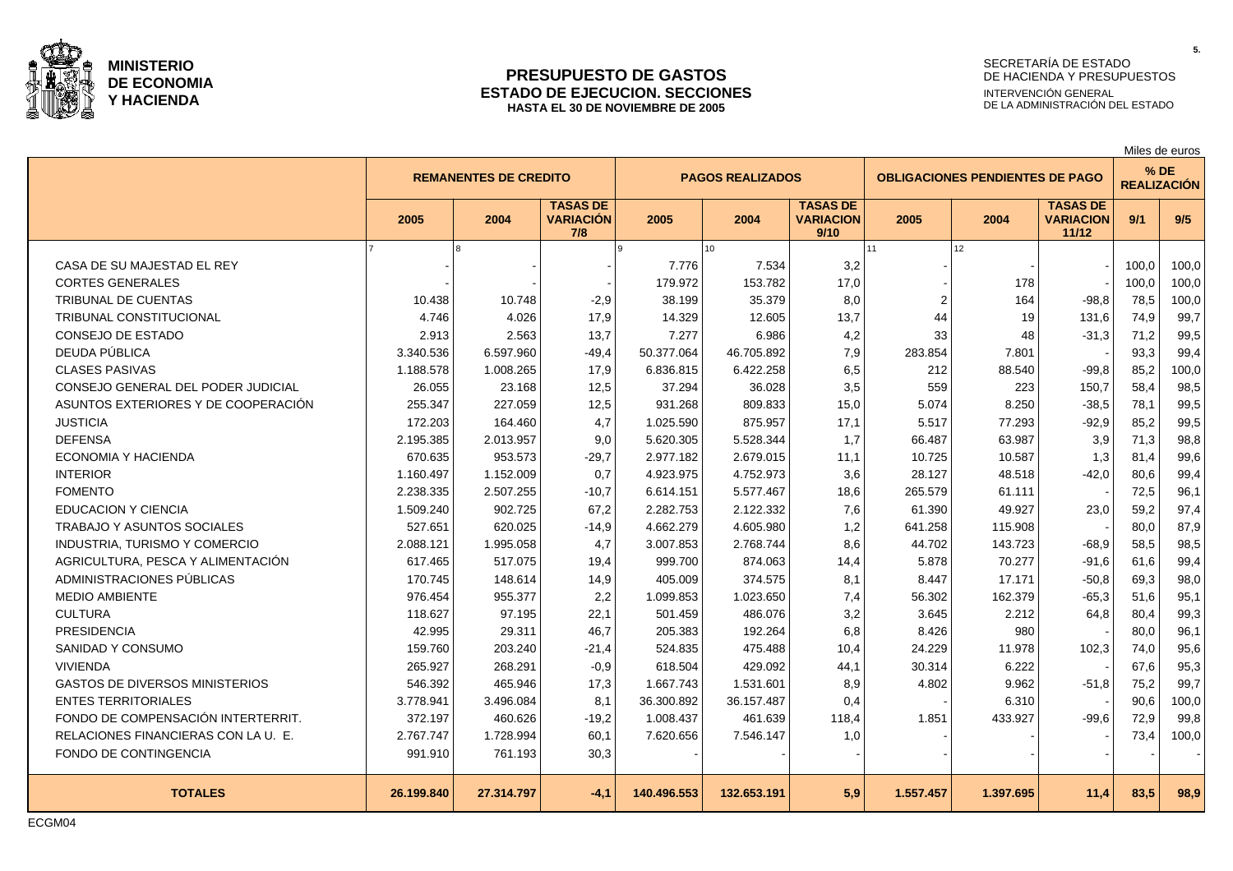

#### **PRESUPUESTO DE GASTOS ESTADO DE EJECUCION. SECCIONES HASTA EL 30 DE NOVIEMBRE DE 2005**

# SECRETARÍA DE ESTADO DE HACIENDA Y PRESUPUESTOS

**5.**

INTERVENCIÓN GENERAL DE LA ADMINISTRACIÓN DEL ESTADO

|                                       |            |                              |                                            |             |                         |                                             |           |                                        |                                              |                    | Miles de euros |
|---------------------------------------|------------|------------------------------|--------------------------------------------|-------------|-------------------------|---------------------------------------------|-----------|----------------------------------------|----------------------------------------------|--------------------|----------------|
|                                       |            | <b>REMANENTES DE CREDITO</b> |                                            |             | <b>PAGOS REALIZADOS</b> |                                             |           | <b>OBLIGACIONES PENDIENTES DE PAGO</b> |                                              | <b>REALIZACIÓN</b> | $%$ DE         |
|                                       | 2005       | 2004                         | <b>TASAS DE</b><br><b>VARIACIÓN</b><br>7/8 | 2005        | 2004                    | <b>TASAS DE</b><br><b>VARIACION</b><br>9/10 | 2005      | 2004                                   | <b>TASAS DE</b><br><b>VARIACION</b><br>11/12 | 9/1                | 9/5            |
|                                       |            |                              |                                            |             | 10                      |                                             | 11        | 12 <sup>°</sup>                        |                                              |                    |                |
| CASA DE SU MAJESTAD EL REY            |            |                              |                                            | 7.776       | 7.534                   | 3,2                                         |           |                                        |                                              | 100.0              | 100,0          |
| <b>CORTES GENERALES</b>               |            |                              |                                            | 179.972     | 153.782                 | 17,0                                        |           | 178                                    |                                              | 100.0              | 100,0          |
| <b>TRIBUNAL DE CUENTAS</b>            | 10.438     | 10.748                       | $-2,9$                                     | 38.199      | 35.379                  | 8,0                                         | 2         | 164                                    | $-98,8$                                      | 78,5               | 100,0          |
| TRIBUNAL CONSTITUCIONAL               | 4.746      | 4.026                        | 17,9                                       | 14.329      | 12.605                  | 13,7                                        | 44        | 19                                     | 131,6                                        | 74,9               | 99,7           |
| CONSEJO DE ESTADO                     | 2.913      | 2.563                        | 13,7                                       | 7.277       | 6.986                   | 4,2                                         | 33        | 48                                     | $-31,3$                                      | 71,2               | 99,5           |
| DEUDA PÚBLICA                         | 3.340.536  | 6.597.960                    | $-49,4$                                    | 50.377.064  | 46.705.892              | 7,9                                         | 283.854   | 7.801                                  |                                              | 93,3               | 99,4           |
| <b>CLASES PASIVAS</b>                 | 1.188.578  | 1.008.265                    | 17,9                                       | 6.836.815   | 6.422.258               | 6,5                                         | 212       | 88.540                                 | $-99,8$                                      | 85,2               | 100,0          |
| CONSEJO GENERAL DEL PODER JUDICIAL    | 26.055     | 23.168                       | 12,5                                       | 37.294      | 36.028                  | 3,5                                         | 559       | 223                                    | 150,7                                        | 58,4               | 98,5           |
| ASUNTOS EXTERIORES Y DE COOPERACIÓN   | 255.347    | 227.059                      | 12,5                                       | 931.268     | 809.833                 | 15,0                                        | 5.074     | 8.250                                  | $-38.5$                                      | 78,1               | 99,5           |
| <b>JUSTICIA</b>                       | 172.203    | 164.460                      | 4,7                                        | 1.025.590   | 875.957                 | 17,1                                        | 5.517     | 77.293                                 | $-92,9$                                      | 85,2               | 99,5           |
| <b>DEFENSA</b>                        | 2.195.385  | 2.013.957                    | 9,0                                        | 5.620.305   | 5.528.344               | 1,7                                         | 66.487    | 63.987                                 | 3,9                                          | 71,3               | 98,8           |
| ECONOMIA Y HACIENDA                   | 670.635    | 953.573                      | $-29,7$                                    | 2.977.182   | 2.679.015               | 11,1                                        | 10.725    | 10.587                                 | 1,3                                          | 81,4               | 99,6           |
| <b>INTERIOR</b>                       | 1.160.497  | 1.152.009                    | 0,7                                        | 4.923.975   | 4.752.973               | 3,6                                         | 28.127    | 48.518                                 | $-42,0$                                      | 80,6               | 99,4           |
| <b>FOMENTO</b>                        | 2.238.335  | 2.507.255                    | $-10,7$                                    | 6.614.151   | 5.577.467               | 18,6                                        | 265.579   | 61.111                                 |                                              | 72,5               | 96,1           |
| EDUCACION Y CIENCIA                   | 1.509.240  | 902.725                      | 67,2                                       | 2.282.753   | 2.122.332               | 7,6                                         | 61.390    | 49.927                                 | 23,0                                         | 59,2               | 97,4           |
| <b>TRABAJO Y ASUNTOS SOCIALES</b>     | 527.651    | 620.025                      | $-14,9$                                    | 4.662.279   | 4.605.980               | 1,2                                         | 641.258   | 115.908                                |                                              | 80,0               | 87,9           |
| INDUSTRIA, TURISMO Y COMERCIO         | 2.088.121  | 1.995.058                    | 4,7                                        | 3.007.853   | 2.768.744               | 8,6                                         | 44.702    | 143.723                                | $-68,9$                                      | 58,5               | 98,5           |
| AGRICULTURA. PESCA Y ALIMENTACIÓN     | 617.465    | 517.075                      | 19,4                                       | 999.700     | 874.063                 | 14,4                                        | 5.878     | 70.277                                 | $-91,6$                                      | 61,6               | 99,4           |
| ADMINISTRACIONES PÚBLICAS             | 170.745    | 148.614                      | 14,9                                       | 405.009     | 374.575                 | 8,1                                         | 8.447     | 17.171                                 | $-50,8$                                      | 69,3               | 98,0           |
| <b>MEDIO AMBIENTE</b>                 | 976.454    | 955.377                      | 2,2                                        | 1.099.853   | 1.023.650               | 7,4                                         | 56.302    | 162.379                                | $-65,3$                                      | 51.6               | 95,1           |
| <b>CULTURA</b>                        | 118.627    | 97.195                       | 22,1                                       | 501.459     | 486.076                 | 3,2                                         | 3.645     | 2.212                                  | 64,8                                         | 80,4               | 99,3           |
| <b>PRESIDENCIA</b>                    | 42.995     | 29.311                       | 46,7                                       | 205.383     | 192.264                 | 6,8                                         | 8.426     | 980                                    |                                              | 80,0               | 96,1           |
| SANIDAD Y CONSUMO                     | 159.760    | 203.240                      | $-21,4$                                    | 524.835     | 475.488                 | 10,4                                        | 24.229    | 11.978                                 | 102,3                                        | 74,0               | 95,6           |
| <b>VIVIENDA</b>                       | 265.927    | 268.291                      | $-0,9$                                     | 618.504     | 429.092                 | 44,1                                        | 30.314    | 6.222                                  |                                              | 67,6               | 95,3           |
| <b>GASTOS DE DIVERSOS MINISTERIOS</b> | 546.392    | 465.946                      | 17,3                                       | 1.667.743   | 1.531.601               | 8,9                                         | 4.802     | 9.962                                  | $-51,8$                                      | 75,2               | 99,7           |
| <b>ENTES TERRITORIALES</b>            | 3.778.941  | 3.496.084                    | 8,1                                        | 36.300.892  | 36.157.487              | 0,4                                         |           | 6.310                                  |                                              | 90,6               | 100,0          |
| FONDO DE COMPENSACIÓN INTERTERRIT.    | 372.197    | 460.626                      | $-19,2$                                    | 1.008.437   | 461.639                 | 118,4                                       | 1.851     | 433.927                                | $-99,6$                                      | 72,9               | 99,8           |
| RELACIONES FINANCIERAS CON LA U. E.   | 2.767.747  | 1.728.994                    | 60,1                                       | 7.620.656   | 7.546.147               | 1,0                                         |           |                                        |                                              | 73,4               | 100,0          |
| FONDO DE CONTINGENCIA                 | 991.910    | 761.193                      | 30,3                                       |             |                         |                                             |           |                                        |                                              |                    |                |
| <b>TOTALES</b>                        | 26.199.840 | 27.314.797                   | $-4.1$                                     | 140.496.553 | 132.653.191             | 5,9                                         | 1.557.457 | 1.397.695                              | 11,4                                         | 83,5               | 98,9           |

ECGM04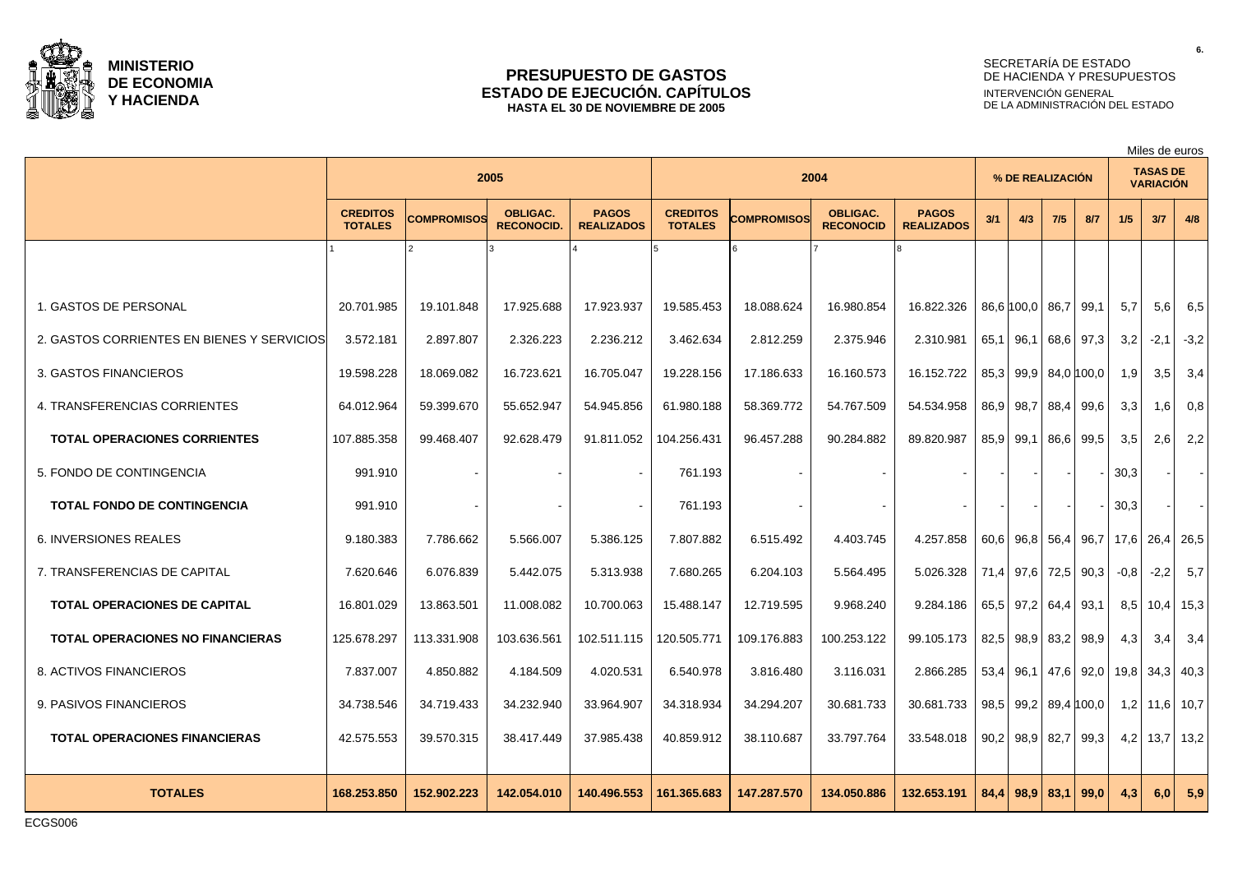

#### **PRESUPUESTO DE GASTOS ESTADO DE EJECUCIÓN. CAPÍTULOS HASTA EL 30 DE NOVIEMBRE DE 2005**

# SECRETARÍA DE ESTADO DE HACIENDA Y PRESUPUESTOS INTERVENCIÓN GENERAL DE LA ADMINISTRACIÓN DEL ESTADO

Miles de euros

|                                            | 2005                              |                    |                                      |                                   | 2004                              |             |                                     |                                   | % DE REALIZACIÓN |                     |           |            |                                    | <b>TASAS DE</b><br><b>VARIACIÓN</b> |          |
|--------------------------------------------|-----------------------------------|--------------------|--------------------------------------|-----------------------------------|-----------------------------------|-------------|-------------------------------------|-----------------------------------|------------------|---------------------|-----------|------------|------------------------------------|-------------------------------------|----------|
|                                            | <b>CREDITOS</b><br><b>TOTALES</b> | <b>COMPROMISOS</b> | <b>OBLIGAC.</b><br><b>RECONOCID.</b> | <b>PAGOS</b><br><b>REALIZADOS</b> | <b>CREDITOS</b><br><b>TOTALES</b> | COMPROMISOS | <b>OBLIGAC.</b><br><b>RECONOCID</b> | <b>PAGOS</b><br><b>REALIZADOS</b> | 3/1              | 4/3                 | 7/5       | 8/7        | 1/5                                | 3/7                                 | 4/8      |
|                                            |                                   |                    |                                      |                                   |                                   |             |                                     |                                   |                  |                     |           |            |                                    |                                     |          |
| 1. GASTOS DE PERSONAL                      | 20.701.985                        | 19.101.848         | 17.925.688                           | 17.923.937                        | 19.585.453                        | 18.088.624  | 16.980.854                          | 16.822.326                        |                  | 86,6 100,0          | 86,7 99,1 |            | 5,7                                | 5.6                                 | 6,5      |
| 2. GASTOS CORRIENTES EN BIENES Y SERVICIOS | 3.572.181                         | 2.897.807          | 2.326.223                            | 2.236.212                         | 3.462.634                         | 2.812.259   | 2.375.946                           | 2.310.981                         | 65,1             | 96,1                |           | 68.6 97.3  | 3,2                                | $-2,1$                              | $-3,2$   |
| 3. GASTOS FINANCIEROS                      | 19.598.228                        | 18.069.082         | 16.723.621                           | 16.705.047                        | 19.228.156                        | 17.186.633  | 16.160.573                          | 16.152.722                        | 85,3             | 99,9                |           | 84,0 100,0 | 1,9                                | 3,5                                 | 3,4      |
| 4. TRANSFERENCIAS CORRIENTES               | 64.012.964                        | 59.399.670         | 55.652.947                           | 54.945.856                        | 61.980.188                        | 58.369.772  | 54.767.509                          | 54.534.958                        | 86,9             | 98,7                |           | 88,4 99,6  | 3,3                                | 1,6                                 | 0,8      |
| <b>TOTAL OPERACIONES CORRIENTES</b>        | 107.885.358                       | 99.468.407         | 92.628.479                           | 91.811.052                        | 104.256.431                       | 96.457.288  | 90.284.882                          | 89.820.987                        | 85,9             | 99,1                |           | 86,6 99,5  | 3,5                                | 2.6                                 | 2,2      |
| 5. FONDO DE CONTINGENCIA                   | 991.910                           |                    |                                      |                                   | 761.193                           |             |                                     |                                   |                  |                     |           |            | 30,3                               |                                     | $\sim$ 1 |
| <b>TOTAL FONDO DE CONTINGENCIA</b>         | 991.910                           |                    |                                      |                                   | 761.193                           |             |                                     |                                   |                  |                     |           |            | 30,3                               |                                     | $\sim$   |
| <b>6. INVERSIONES REALES</b>               | 9.180.383                         | 7.786.662          | 5.566.007                            | 5.386.125                         | 7.807.882                         | 6.515.492   | 4.403.745                           | 4.257.858                         |                  |                     |           |            | 60,6 96,8 56,4 96,7 17,6 26,4 26,5 |                                     |          |
| 7. TRANSFERENCIAS DE CAPITAL               | 7.620.646                         | 6.076.839          | 5.442.075                            | 5.313.938                         | 7.680.265                         | 6.204.103   | 5.564.495                           | 5.026.328                         |                  | 71,4 97,6 72,5 90,3 |           |            | $-0,8$                             | $-2,2$                              | 5,7      |
| <b>TOTAL OPERACIONES DE CAPITAL</b>        | 16.801.029                        | 13.863.501         | 11.008.082                           | 10.700.063                        | 15.488.147                        | 12.719.595  | 9.968.240                           | 9.284.186                         |                  | 65,5 97,2 64,4 93,1 |           |            | 8,5                                | 10,4                                | 15,3     |
| <b>TOTAL OPERACIONES NO FINANCIERAS</b>    | 125.678.297                       | 113.331.908        | 103.636.561                          | 102.511.115                       | 120.505.771                       | 109.176.883 | 100.253.122                         | 99.105.173                        | 82,5             | 98,9                | 83,2      | 98,9       | 4,3                                | 3,4                                 | 3,4      |
| 8. ACTIVOS FINANCIEROS                     | 7.837.007                         | 4.850.882          | 4.184.509                            | 4.020.531                         | 6.540.978                         | 3.816.480   | 3.116.031                           | 2.866.285                         | 53,4             | 96.1                |           | 47,6 92,0  |                                    | 19,8 34,3 40,3                      |          |
| 9. PASIVOS FINANCIEROS                     | 34.738.546                        | 34.719.433         | 34.232.940                           | 33.964.907                        | 34.318.934                        | 34.294.207  | 30.681.733                          | 30.681.733                        | 98,5             | 99,2                |           | 89,4 100,0 | 1,2                                | $11,6$   10,7                       |          |
| <b>TOTAL OPERACIONES FINANCIERAS</b>       | 42.575.553                        | 39.570.315         | 38.417.449                           | 37.985.438                        | 40.859.912                        | 38.110.687  | 33.797.764                          | 33.548.018                        |                  | $90,2$ 98,9         |           | 82,7 99,3  | 4,2                                | 13,7   13,2                         |          |
| <b>TOTALES</b>                             | 168.253.850                       | 152.902.223        | 142.054.010                          | 140.496.553                       | 161.365.683                       | 147.287.570 | 134.050.886                         | 132.653.191                       | 84.4             | 98.9                | 83,1      | 99.0       | 4.3                                | 6.0 <sub>1</sub>                    | 5,9      |

**6.**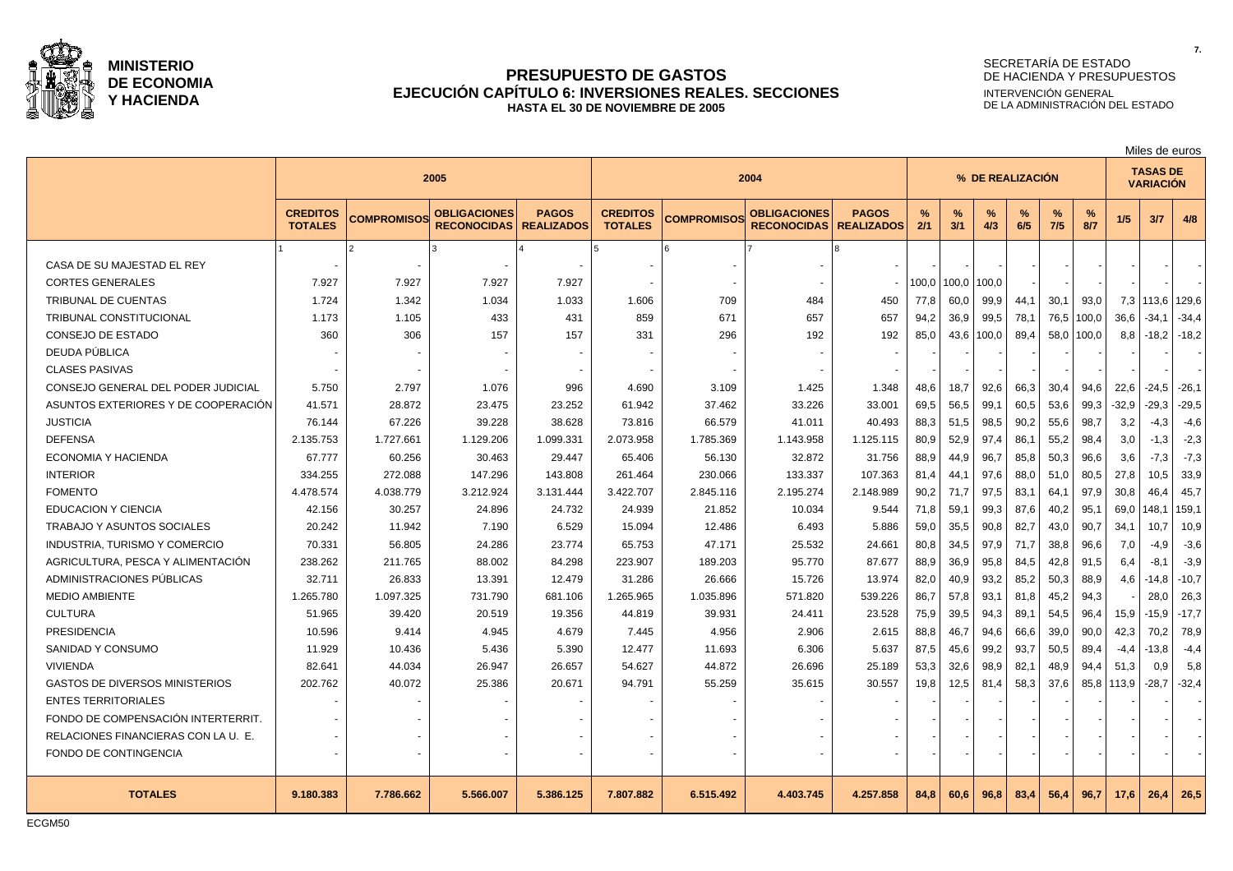

## **PRESUPUESTO DE GASTOS EJECUCIÓN CAPÍTULO 6: INVERSIONES REALES. SECCIONES HASTA EL 30 DE NOVIEMBRE DE 2005**

# SECRETARÍA DE ESTADO DE HACIENDA Y PRESUPUESTOS INTERVENCIÓN GENERAL DE LA ADMINISTRACIÓN DEL ESTADO

|                                       |                                   |                    |                                           |                                   |                                   |                    |                                           |                                   | Miles de euros |          |          |                  |          |          |                                     |             |         |
|---------------------------------------|-----------------------------------|--------------------|-------------------------------------------|-----------------------------------|-----------------------------------|--------------------|-------------------------------------------|-----------------------------------|----------------|----------|----------|------------------|----------|----------|-------------------------------------|-------------|---------|
|                                       |                                   |                    | 2005                                      |                                   |                                   | 2004               |                                           |                                   |                |          |          | % DE REALIZACIÓN |          |          | <b>TASAS DE</b><br><b>VARIACIÓN</b> |             |         |
|                                       | <b>CREDITOS</b><br><b>TOTALES</b> | <b>COMPROMISOS</b> | <b>OBLIGACIONES</b><br><b>RECONOCIDAS</b> | <b>PAGOS</b><br><b>REALIZADOS</b> | <b>CREDITOS</b><br><b>TOTALES</b> | <b>COMPROMISOS</b> | <b>OBLIGACIONES</b><br><b>RECONOCIDAS</b> | <b>PAGOS</b><br><b>REALIZADOS</b> | %<br>2/1       | %<br>3/1 | %<br>4/3 | $\%$<br>6/5      | %<br>7/5 | %<br>8/7 | 1/5                                 | 3/7         | 4/8     |
|                                       |                                   |                    |                                           |                                   |                                   |                    |                                           |                                   |                |          |          |                  |          |          |                                     |             |         |
| CASA DE SU MAJESTAD EL REY            |                                   |                    |                                           |                                   |                                   |                    |                                           |                                   |                |          |          |                  |          |          |                                     |             |         |
| <b>CORTES GENERALES</b>               | 7.927                             | 7.927              | 7.927                                     | 7.927                             |                                   |                    |                                           |                                   | 100,0          | 100,0    | 100,0    |                  |          |          |                                     |             |         |
| <b>TRIBUNAL DE CUENTAS</b>            | 1.724                             | 1.342              | 1.034                                     | 1.033                             | 1.606                             | 709                | 484                                       | 450                               | 77,8           | 60,0     | 99,9     | 44,1             | 30,1     | 93,0     | 7,3                                 | 113,6 129,6 |         |
| TRIBUNAL CONSTITUCIONAL               | 1.173                             | 1.105              | 433                                       | 431                               | 859                               | 671                | 657                                       | 657                               | 94,2           | 36,9     | 99,5     | 78,1             | 76,5     | 100,0    | 36.6                                | $-34,1$     | $-34,4$ |
| CONSEJO DE ESTADO                     | 360                               | 306                | 157                                       | 157                               | 331                               | 296                | 192                                       | 192                               | 85,0           | 43,6     | 100,0    | 89,4             | 58,0     | 100,0    | 8,8                                 | $-18.2$     | $-18,2$ |
| DEUDA PÚBLICA                         |                                   |                    |                                           |                                   |                                   |                    |                                           |                                   |                |          |          |                  |          |          |                                     |             |         |
| <b>CLASES PASIVAS</b>                 |                                   |                    |                                           |                                   |                                   |                    |                                           |                                   |                |          |          |                  |          |          |                                     |             |         |
| CONSEJO GENERAL DEL PODER JUDICIAL    | 5.750                             | 2.797              | 1.076                                     | 996                               | 4.690                             | 3.109              | 1.425                                     | 1.348                             | 48,6           | 18,7     | 92,6     | 66,3             | 30,4     | 94,6     | 22,6                                | -24,5       | $-26.1$ |
| ASUNTOS EXTERIORES Y DE COOPERACIÓN   | 41.571                            | 28.872             | 23.475                                    | 23.252                            | 61.942                            | 37.462             | 33.226                                    | 33.001                            | 69,5           | 56,5     | 99,1     | 60,5             | 53,6     | 99,3     | $-32,9$                             | $-29.3$     | $-29,5$ |
| <b>JUSTICIA</b>                       | 76.144                            | 67.226             | 39.228                                    | 38.628                            | 73.816                            | 66.579             | 41.011                                    | 40.493                            | 88,3           | 51,5     | 98,5     | 90,2             | 55,6     | 98,7     | 3,2                                 | $-4,3$      | $-4,6$  |
| <b>DEFENSA</b>                        | 2.135.753                         | 1.727.661          | 1.129.206                                 | 1.099.331                         | 2.073.958                         | 1.785.369          | 1.143.958                                 | 1.125.115                         | 80,9           | 52,9     | 97,4     | 86,1             | 55,2     | 98,4     | 3,0                                 | $-1,3$      | $-2,3$  |
| ECONOMIA Y HACIENDA                   | 67.777                            | 60.256             | 30.463                                    | 29.447                            | 65.406                            | 56.130             | 32.872                                    | 31.756                            | 88,9           | 44,9     | 96,7     | 85,8             | 50,3     | 96,6     | 3,6                                 | $-7,3$      | $-7,3$  |
| <b>INTERIOR</b>                       | 334.255                           | 272.088            | 147.296                                   | 143.808                           | 261.464                           | 230.066            | 133.337                                   | 107.363                           | 81.4           | 44,1     | 97,6     | 88.0             | 51.0     | 80,5     | 27.8                                | 10,5        | 33.9    |
| <b>FOMENTO</b>                        | 4.478.574                         | 4.038.779          | 3.212.924                                 | 3.131.444                         | 3.422.707                         | 2.845.116          | 2.195.274                                 | 2.148.989                         | 90,2           | 71,7     | 97,5     | 83,1             | 64,1     | 97,9     | 30,8                                | 46,4        | 45,7    |
| <b>EDUCACION Y CIENCIA</b>            | 42.156                            | 30.257             | 24.896                                    | 24.732                            | 24.939                            | 21.852             | 10.034                                    | 9.544                             | 71,8           | 59,1     | 99,3     | 87,6             | 40,2     | 95,1     | 69,0                                | 148,1       | 159,1   |
| TRABAJO Y ASUNTOS SOCIALES            | 20.242                            | 11.942             | 7.190                                     | 6.529                             | 15.094                            | 12.486             | 6.493                                     | 5.886                             | 59,0           | 35,5     | 90,8     | 82,7             | 43,0     | 90.7     | 34,1                                | 10,7        | 10,9    |
| <b>INDUSTRIA, TURISMO Y COMERCIO</b>  | 70.331                            | 56.805             | 24.286                                    | 23.774                            | 65.753                            | 47.171             | 25.532                                    | 24.661                            | 80,8           | 34,5     | 97,9     | 71,7             | 38,8     | 96,6     | 7,0                                 | $-4,9$      | $-3,6$  |
| AGRICULTURA, PESCA Y ALIMENTACIÓN     | 238.262                           | 211.765            | 88.002                                    | 84.298                            | 223.907                           | 189.203            | 95.770                                    | 87.677                            | 88,9           | 36,9     | 95,8     | 84,5             | 42,8     | 91,5     | 6,4                                 | $-8,1$      | $-3,9$  |
| ADMINISTRACIONES PÚBLICAS             | 32.711                            | 26.833             | 13.391                                    | 12.479                            | 31.286                            | 26.666             | 15.726                                    | 13.974                            | 82,0           | 40,9     | 93,2     | 85,2             | 50,3     | 88,9     | 4,6                                 | $-14.8$     | $-10,7$ |
| <b>MEDIO AMBIENTE</b>                 | 1.265.780                         | 1.097.325          | 731.790                                   | 681.106                           | 1.265.965                         | 1.035.896          | 571.820                                   | 539.226                           | 86,7           | 57,8     | 93,1     | 81,8             | 45,2     | 94,3     |                                     | 28,0        | 26,3    |
| <b>CULTURA</b>                        | 51.965                            | 39.420             | 20.519                                    | 19.356                            | 44.819                            | 39.931             | 24.411                                    | 23.528                            | 75,9           | 39,5     | 94,3     | 89,1             | 54,5     | 96,4     | 15,9                                | -15.9       | $-17,7$ |
| <b>PRESIDENCIA</b>                    | 10.596                            | 9.414              | 4.945                                     | 4.679                             | 7.445                             | 4.956              | 2.906                                     | 2.615                             | 88,8           | 46,7     | 94,6     | 66,6             | 39,0     | 90,0     | 42,3                                | 70,2        | 78,9    |
| SANIDAD Y CONSUMO                     | 11.929                            | 10.436             | 5.436                                     | 5.390                             | 12.477                            | 11.693             | 6.306                                     | 5.637                             | 87,5           | 45,6     | 99,2     | 93,7             | 50,5     | 89,4     | $-4,4$                              | -13.8       | $-4,4$  |
| <b>VIVIENDA</b>                       | 82.641                            | 44.034             | 26.947                                    | 26.657                            | 54.627                            | 44.872             | 26.696                                    | 25.189                            | 53,3           | 32,6     | 98,9     | 82,1             | 48,9     | 94,4     | 51,3                                | 0,9         | 5,8     |
| <b>GASTOS DE DIVERSOS MINISTERIOS</b> | 202.762                           | 40.072             | 25.386                                    | 20.671                            | 94.791                            | 55.259             | 35.615                                    | 30.557                            | 19,8           | 12,5     | 81,4     | 58,3             | 37,6     | 85,8     | 113,9                               | -28,7       | $-32,4$ |
| <b>ENTES TERRITORIALES</b>            |                                   |                    |                                           |                                   |                                   |                    |                                           |                                   |                |          |          |                  |          |          |                                     |             |         |
| FONDO DE COMPENSACIÓN INTERTERRIT.    |                                   |                    |                                           |                                   |                                   |                    |                                           |                                   |                |          |          |                  |          |          |                                     |             |         |
| RELACIONES FINANCIERAS CON LA U. E.   |                                   |                    |                                           |                                   |                                   |                    |                                           |                                   |                |          |          |                  |          |          |                                     |             |         |
| FONDO DE CONTINGENCIA                 |                                   |                    |                                           |                                   |                                   |                    |                                           |                                   |                |          |          |                  |          |          |                                     |             |         |
| <b>TOTALES</b>                        | 9.180.383                         | 7.786.662          | 5.566.007                                 | 5.386.125                         | 7.807.882                         | 6.515.492          | 4.403.745                                 | 4.257.858                         | 84,8           | 60,6     | 96,8     | 83,4             | 56,4     | 96,7     | 17,6                                | 26,4        | 26,5    |
|                                       |                                   |                    |                                           |                                   |                                   |                    |                                           |                                   |                |          |          |                  |          |          |                                     |             |         |

ECGM50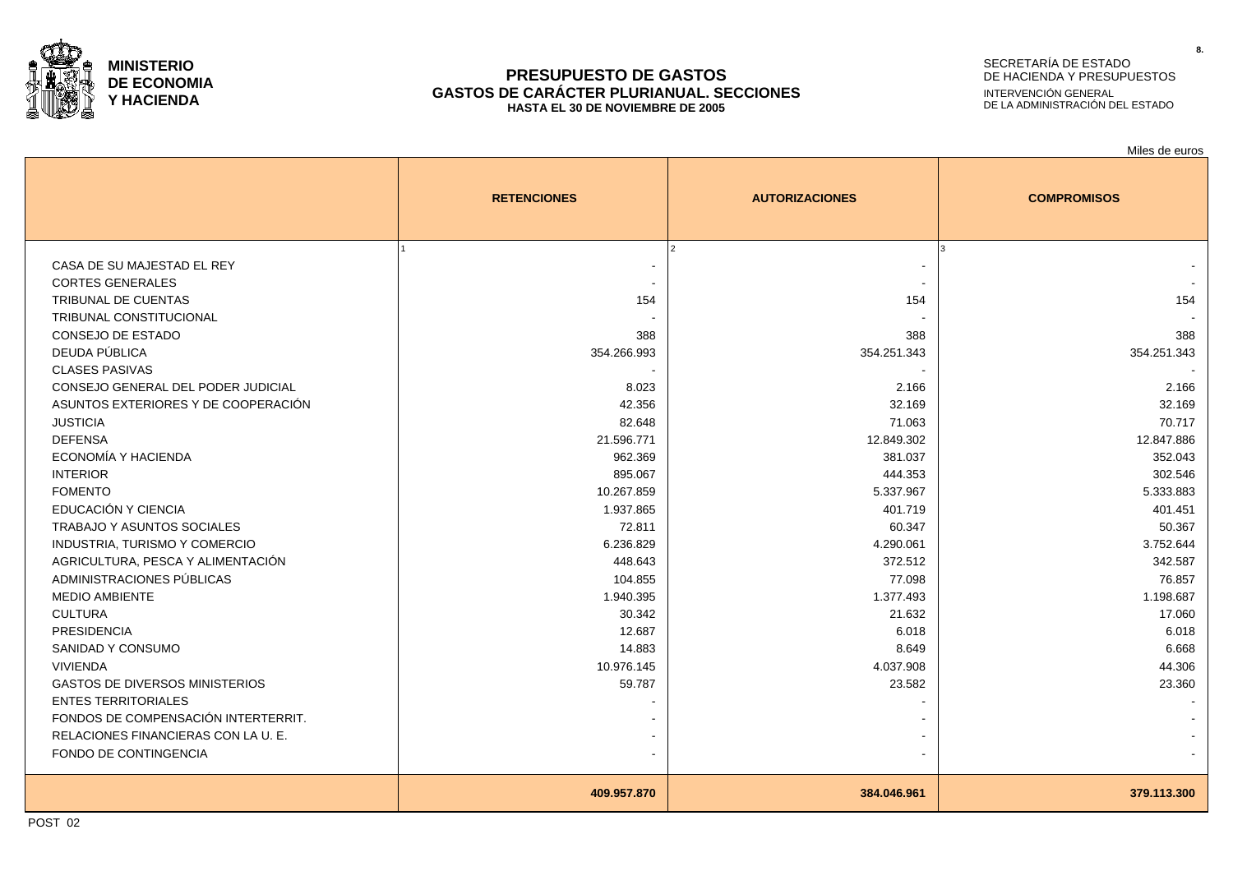

#### **PRESUPUESTO DE GASTOS GASTOS DE CARÁCTER PLURIANUAL. SECCIONES HASTA EL 30 DE NOVIEMBRE DE 2005**

# SECRETARÍA DE ESTADO DE HACIENDA Y PRESUPUESTOS INTERVENCIÓN GENERAL DE LA ADMINISTRACIÓN DEL ESTADO

|                                       |                    |                       | Miles de euros     |
|---------------------------------------|--------------------|-----------------------|--------------------|
|                                       | <b>RETENCIONES</b> | <b>AUTORIZACIONES</b> | <b>COMPROMISOS</b> |
|                                       |                    |                       |                    |
| CASA DE SU MAJESTAD EL REY            |                    |                       |                    |
| <b>CORTES GENERALES</b>               |                    |                       |                    |
| <b>TRIBUNAL DE CUENTAS</b>            | 154                | 154                   | 154                |
| <b>TRIBUNAL CONSTITUCIONAL</b>        |                    |                       |                    |
| CONSEJO DE ESTADO                     | 388                | 388                   | 388                |
| DEUDA PÚBLICA                         | 354.266.993        | 354.251.343           | 354.251.343        |
| <b>CLASES PASIVAS</b>                 |                    |                       |                    |
| CONSEJO GENERAL DEL PODER JUDICIAL    | 8.023              | 2.166                 | 2.166              |
| ASUNTOS EXTERIORES Y DE COOPERACIÓN   | 42.356             | 32.169                | 32.169             |
| <b>JUSTICIA</b>                       | 82.648             | 71.063                | 70.717             |
| <b>DEFENSA</b>                        | 21.596.771         | 12.849.302            | 12.847.886         |
| ECONOMÍA Y HACIENDA                   | 962.369            | 381.037               | 352.043            |
| <b>INTERIOR</b>                       | 895.067            | 444.353               | 302.546            |
| <b>FOMENTO</b>                        | 10.267.859         | 5.337.967             | 5.333.883          |
| EDUCACIÓN Y CIENCIA                   | 1.937.865          | 401.719               | 401.451            |
| <b>TRABAJO Y ASUNTOS SOCIALES</b>     | 72.811             | 60.347                | 50.367             |
| INDUSTRIA, TURISMO Y COMERCIO         | 6.236.829          | 4.290.061             | 3.752.644          |
| AGRICULTURA, PESCA Y ALIMENTACIÓN     | 448.643            | 372.512               | 342.587            |
| ADMINISTRACIONES PÚBLICAS             | 104.855            | 77.098                | 76.857             |
| <b>MEDIO AMBIENTE</b>                 | 1.940.395          | 1.377.493             | 1.198.687          |
| <b>CULTURA</b>                        | 30.342             | 21.632                | 17.060             |
| <b>PRESIDENCIA</b>                    | 12.687             | 6.018                 | 6.018              |
| SANIDAD Y CONSUMO                     | 14.883             | 8.649                 | 6.668              |
| <b>VIVIENDA</b>                       | 10.976.145         | 4.037.908             | 44.306             |
| <b>GASTOS DE DIVERSOS MINISTERIOS</b> | 59.787             | 23.582                | 23.360             |
| <b>ENTES TERRITORIALES</b>            |                    |                       |                    |
| FONDOS DE COMPENSACIÓN INTERTERRIT.   |                    |                       |                    |
| RELACIONES FINANCIERAS CON LA U. E.   |                    |                       |                    |
| FONDO DE CONTINGENCIA                 |                    |                       |                    |
|                                       | 409.957.870        | 384.046.961           | 379.113.300        |
|                                       |                    |                       |                    |

POST 02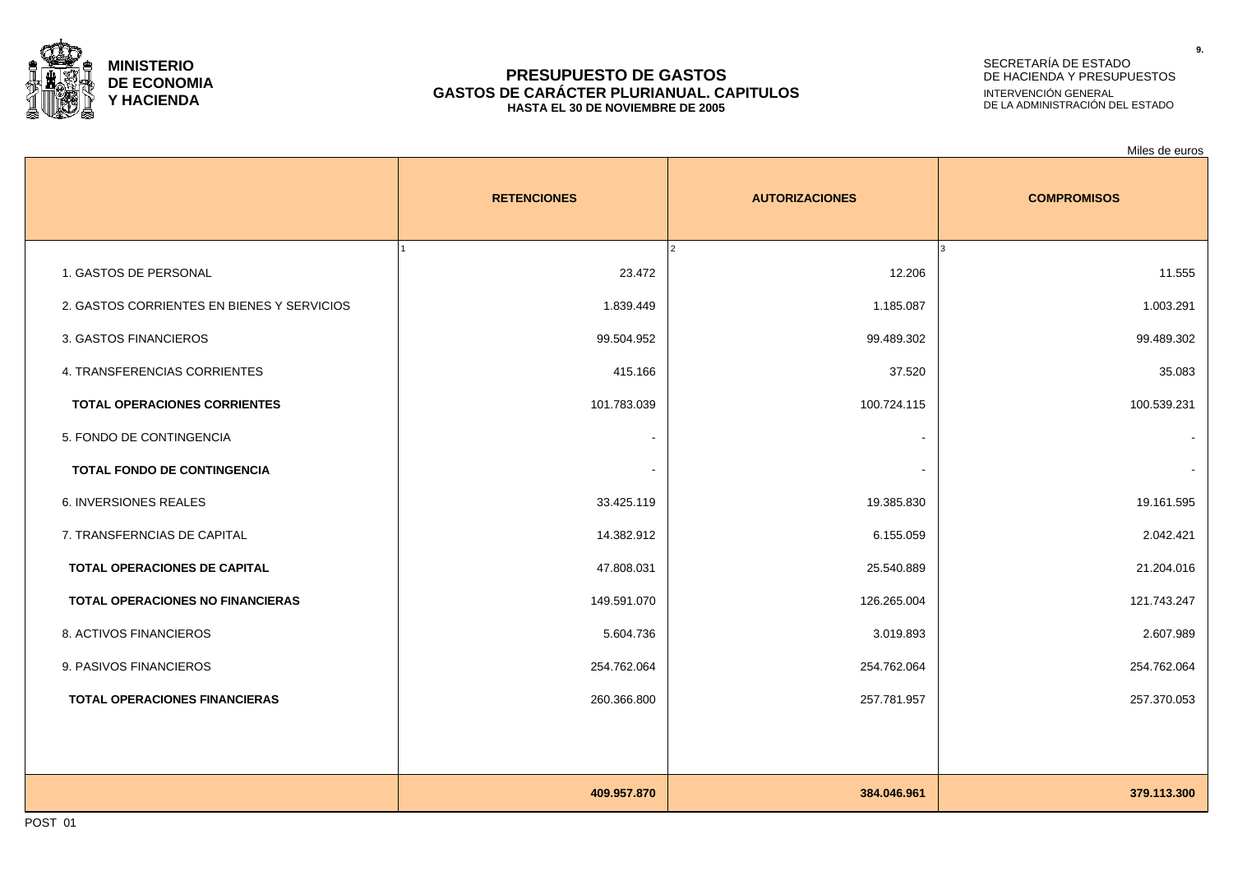

#### **PRESUPUESTO DE GASTOS GASTOS DE CARÁCTER PLURIANUAL. CAPITULOS HASTA EL 30 DE NOVIEMBRE DE 2005**

# SECRETARÍA DE ESTADO DE HACIENDA Y PRESUPUESTOS INTERVENCIÓN GENERAL DE LA ADMINISTRACIÓN DEL ESTADO

|                                            |                    |                       | Miles de euros     |
|--------------------------------------------|--------------------|-----------------------|--------------------|
|                                            | <b>RETENCIONES</b> | <b>AUTORIZACIONES</b> | <b>COMPROMISOS</b> |
| 1. GASTOS DE PERSONAL                      | 23.472             | 12.206                | 11.555             |
| 2. GASTOS CORRIENTES EN BIENES Y SERVICIOS | 1.839.449          | 1.185.087             | 1.003.291          |
| 3. GASTOS FINANCIEROS                      | 99.504.952         | 99.489.302            | 99.489.302         |
| 4. TRANSFERENCIAS CORRIENTES               | 415.166            | 37.520                | 35.083             |
| <b>TOTAL OPERACIONES CORRIENTES</b>        | 101.783.039        | 100.724.115           | 100.539.231        |
| 5. FONDO DE CONTINGENCIA                   |                    | $\blacksquare$        | $\blacksquare$     |
| TOTAL FONDO DE CONTINGENCIA                |                    |                       |                    |
| 6. INVERSIONES REALES                      | 33.425.119         | 19.385.830            | 19.161.595         |
| 7. TRANSFERNCIAS DE CAPITAL                | 14.382.912         | 6.155.059             | 2.042.421          |
| TOTAL OPERACIONES DE CAPITAL               | 47.808.031         | 25.540.889            | 21.204.016         |
| <b>TOTAL OPERACIONES NO FINANCIERAS</b>    | 149.591.070        | 126.265.004           | 121.743.247        |
| 8. ACTIVOS FINANCIEROS                     | 5.604.736          | 3.019.893             | 2.607.989          |
| 9. PASIVOS FINANCIEROS                     | 254.762.064        | 254.762.064           | 254.762.064        |
| <b>TOTAL OPERACIONES FINANCIERAS</b>       | 260.366.800        | 257.781.957           | 257.370.053        |
|                                            |                    |                       |                    |
|                                            | 409.957.870        | 384.046.961           | 379.113.300        |